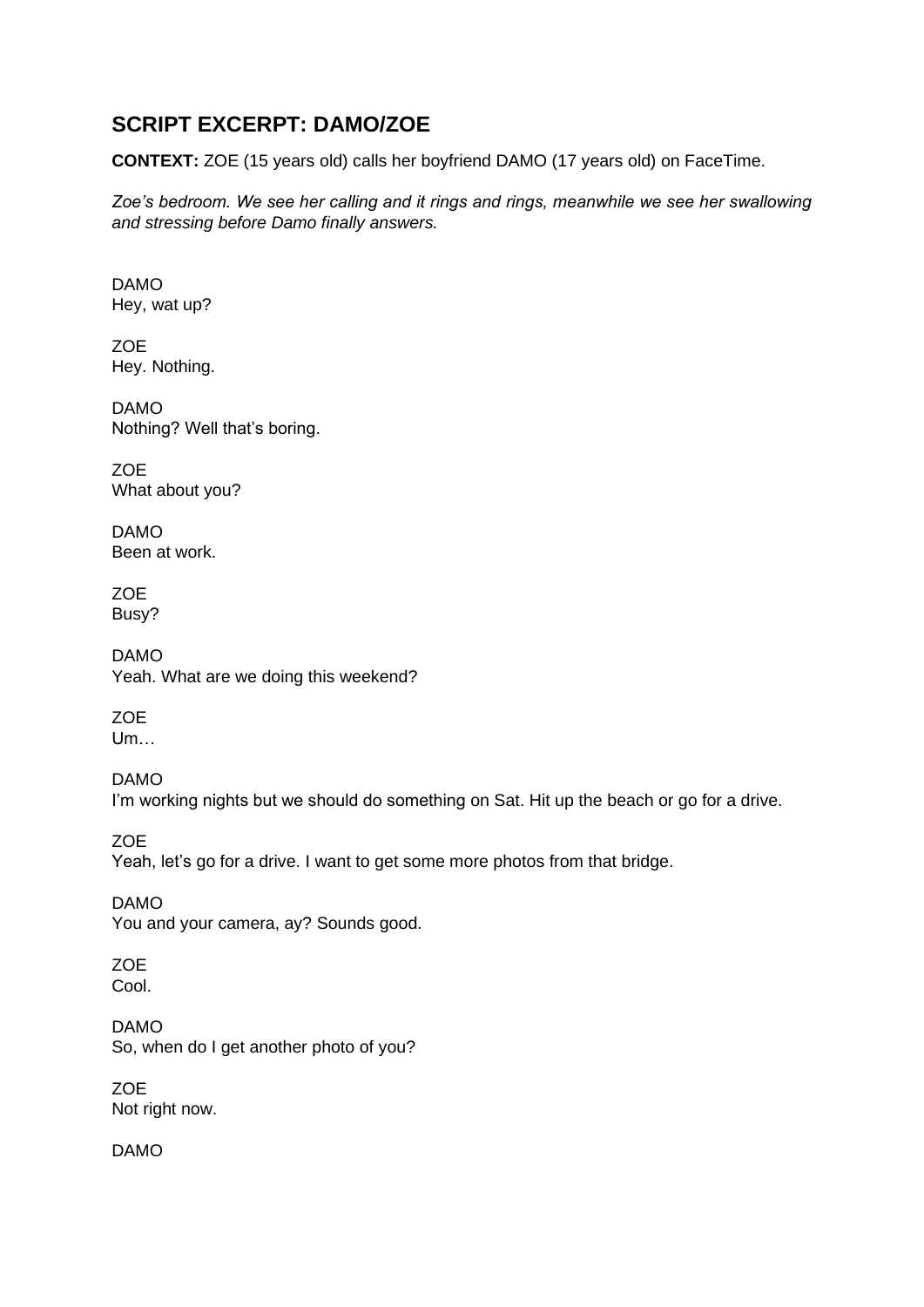## **SCRIPT EXCERPT: DAMO/ZOE**

**CONTEXT:** ZOE (15 years old) calls her boyfriend DAMO (17 years old) on FaceTime.

*Zoe's bedroom. We see her calling and it rings and rings, meanwhile we see her swallowing and stressing before Damo finally answers.*

DAMO Hey, wat up?

ZOE Hey. Nothing.

DAMO Nothing? Well that's boring.

ZOE What about you?

DAMO Been at work.

ZOE Busy?

DAMO Yeah. What are we doing this weekend?

ZOE Um…

DAMO I'm working nights but we should do something on Sat. Hit up the beach or go for a drive.

**ZOE** Yeah, let's go for a drive. I want to get some more photos from that bridge.

DAMO You and your camera, ay? Sounds good.

ZOE Cool.

DAMO So, when do I get another photo of you?

**ZOE** Not right now.

DAMO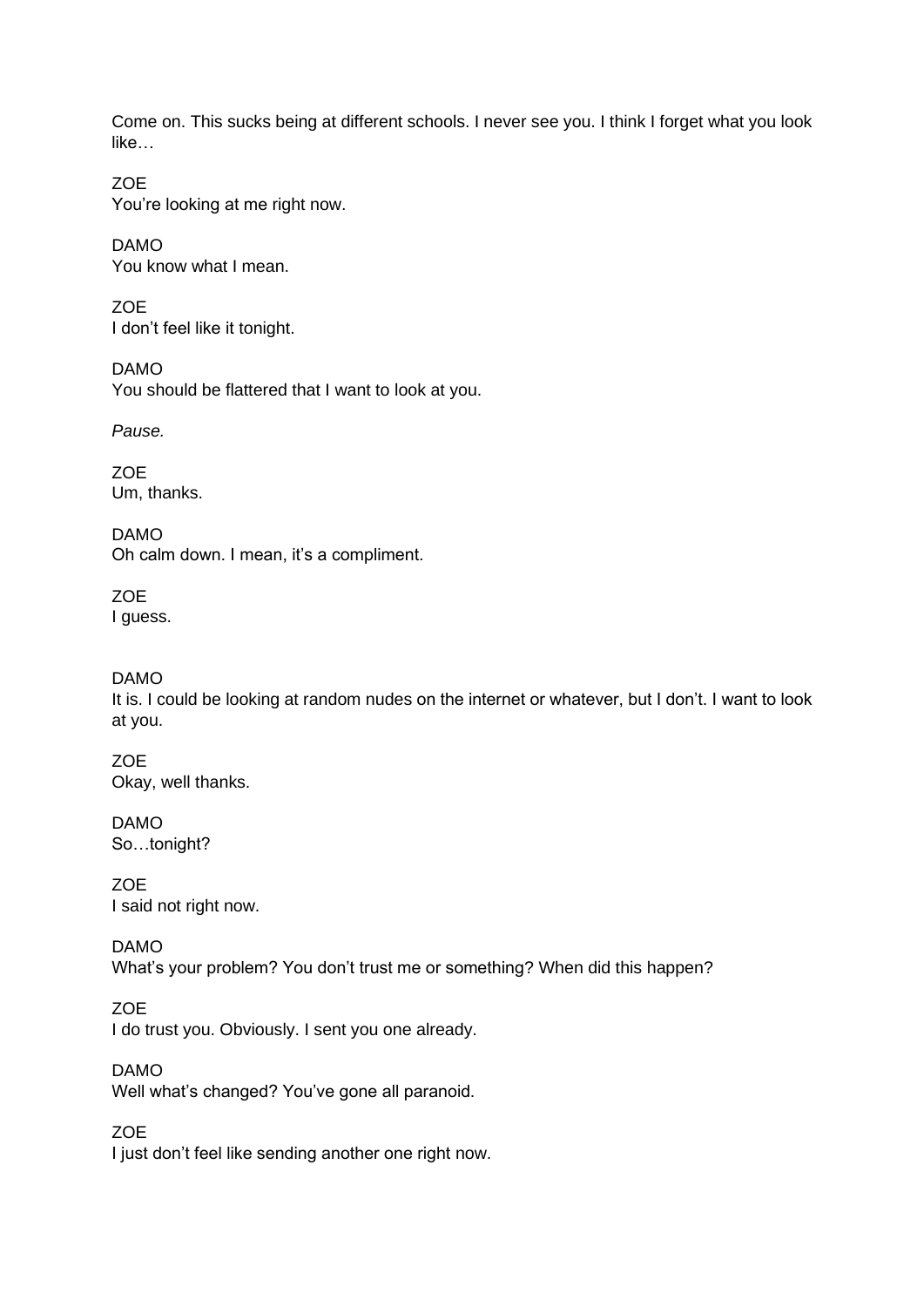Come on. This sucks being at different schools. I never see you. I think I forget what you look like…

ZOE You're looking at me right now.

DAMO You know what I mean.

**ZOE** I don't feel like it tonight.

DAMO You should be flattered that I want to look at you.

*Pause.*

ZOE Um, thanks.

DAMO Oh calm down. I mean, it's a compliment.

**ZOE** I guess.

## DAMO

It is. I could be looking at random nudes on the internet or whatever, but I don't. I want to look at you.

**ZOE** Okay, well thanks.

DAMO So…tonight?

**ZOE** I said not right now.

DAMO What's your problem? You don't trust me or something? When did this happen?

**ZOE** I do trust you. Obviously. I sent you one already.

DAMO Well what's changed? You've gone all paranoid.

ZOE I just don't feel like sending another one right now.